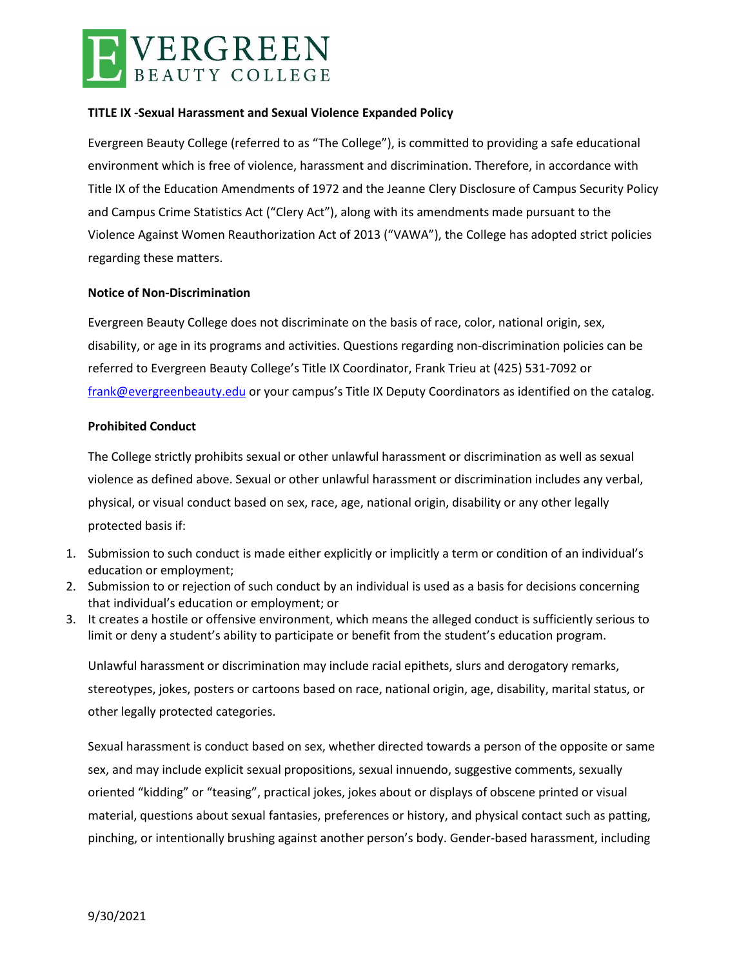

# **TITLE IX -Sexual Harassment and Sexual Violence Expanded Policy**

Evergreen Beauty College (referred to as "The College"), is committed to providing a safe educational environment which is free of violence, harassment and discrimination. Therefore, in accordance with Title IX of the Education Amendments of 1972 and the Jeanne Clery Disclosure of Campus Security Policy and Campus Crime Statistics Act ("Clery Act"), along with its amendments made pursuant to the Violence Against Women Reauthorization Act of 2013 ("VAWA"), the College has adopted strict policies regarding these matters.

# **Notice of Non-Discrimination**

Evergreen Beauty College does not discriminate on the basis of race, color, national origin, sex, disability, or age in its programs and activities. Questions regarding non-discrimination policies can be referred to Evergreen Beauty College's Title IX Coordinator, Frank Trieu at (425) 531-7092 or [frank@evergreenbeauty.edu](mailto:frank@evergreenbeauty.edu) or your campus's Title IX Deputy Coordinators as identified on the catalog.

# **Prohibited Conduct**

The College strictly prohibits sexual or other unlawful harassment or discrimination as well as sexual violence as defined above. Sexual or other unlawful harassment or discrimination includes any verbal, physical, or visual conduct based on sex, race, age, national origin, disability or any other legally protected basis if:

- 1. Submission to such conduct is made either explicitly or implicitly a term or condition of an individual's education or employment;
- 2. Submission to or rejection of such conduct by an individual is used as a basis for decisions concerning that individual's education or employment; or
- 3. It creates a hostile or offensive environment, which means the alleged conduct is sufficiently serious to limit or deny a student's ability to participate or benefit from the student's education program.

Unlawful harassment or discrimination may include racial epithets, slurs and derogatory remarks, stereotypes, jokes, posters or cartoons based on race, national origin, age, disability, marital status, or other legally protected categories.

Sexual harassment is conduct based on sex, whether directed towards a person of the opposite or same sex, and may include explicit sexual propositions, sexual innuendo, suggestive comments, sexually oriented "kidding" or "teasing", practical jokes, jokes about or displays of obscene printed or visual material, questions about sexual fantasies, preferences or history, and physical contact such as patting, pinching, or intentionally brushing against another person's body. Gender-based harassment, including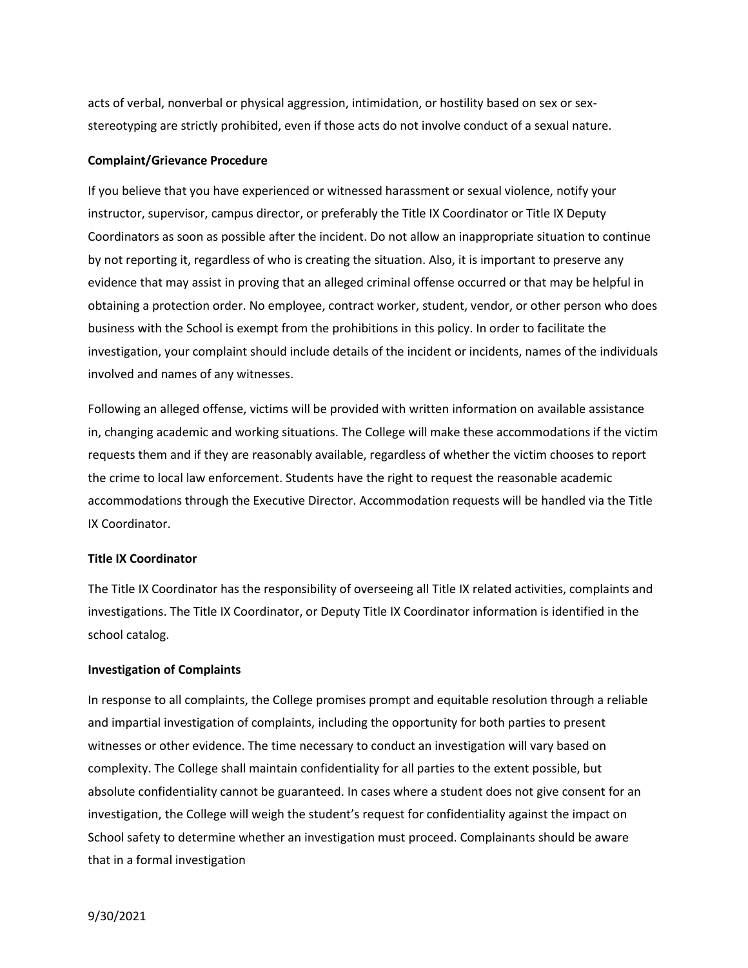acts of verbal, nonverbal or physical aggression, intimidation, or hostility based on sex or sexstereotyping are strictly prohibited, even if those acts do not involve conduct of a sexual nature.

# **Complaint/Grievance Procedure**

If you believe that you have experienced or witnessed harassment or sexual violence, notify your instructor, supervisor, campus director, or preferably the Title IX Coordinator or Title IX Deputy Coordinators as soon as possible after the incident. Do not allow an inappropriate situation to continue by not reporting it, regardless of who is creating the situation. Also, it is important to preserve any evidence that may assist in proving that an alleged criminal offense occurred or that may be helpful in obtaining a protection order. No employee, contract worker, student, vendor, or other person who does business with the School is exempt from the prohibitions in this policy. In order to facilitate the investigation, your complaint should include details of the incident or incidents, names of the individuals involved and names of any witnesses.

Following an alleged offense, victims will be provided with written information on available assistance in, changing academic and working situations. The College will make these accommodations if the victim requests them and if they are reasonably available, regardless of whether the victim chooses to report the crime to local law enforcement. Students have the right to request the reasonable academic accommodations through the Executive Director. Accommodation requests will be handled via the Title IX Coordinator.

## **Title IX Coordinator**

The Title IX Coordinator has the responsibility of overseeing all Title IX related activities, complaints and investigations. The Title IX Coordinator, or Deputy Title IX Coordinator information is identified in the school catalog.

## **Investigation of Complaints**

In response to all complaints, the College promises prompt and equitable resolution through a reliable and impartial investigation of complaints, including the opportunity for both parties to present witnesses or other evidence. The time necessary to conduct an investigation will vary based on complexity. The College shall maintain confidentiality for all parties to the extent possible, but absolute confidentiality cannot be guaranteed. In cases where a student does not give consent for an investigation, the College will weigh the student's request for confidentiality against the impact on School safety to determine whether an investigation must proceed. Complainants should be aware that in a formal investigation